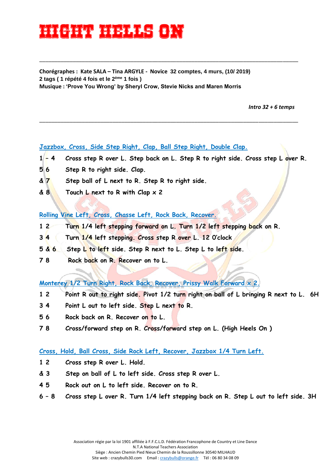# **Hight hells on**

**Chorégraphes : Kate SALA – Tina ARGYLE - Novice 32 comptes, 4 murs, (10/ 2019) 2 tags ( 1 répété 4 fois et le 2ème 1 fois ) Musique : 'Prove You Wrong' by Sheryl Crow, Stevie Nicks and Maren Morris**

*Intro 32 + 6 temps*

#### **Jazzbox, Cross, Side Step Right, Clap, Ball Step Right, Double Clap.**

**1 – 4 Cross step R over L. Step back on L. Step R to right side. Cross step L over R.**

\_\_\_\_\_\_\_\_\_\_\_\_\_\_\_\_\_\_\_\_\_\_\_\_\_\_\_\_\_\_\_\_\_\_\_\_\_\_\_\_\_\_\_\_\_\_\_\_\_\_\_\_\_\_\_\_\_\_\_\_\_\_\_\_\_\_\_\_\_\_\_\_\_\_\_\_\_\_\_\_\_\_\_\_\_

\_\_\_\_\_\_\_\_\_\_\_\_\_\_\_\_\_\_\_\_\_\_\_\_\_\_\_\_\_\_\_\_\_\_\_\_\_\_\_\_\_\_\_\_\_\_\_\_\_\_\_\_\_\_\_\_\_\_\_\_\_\_\_\_\_\_\_\_\_\_\_\_\_\_\_\_\_\_\_\_\_\_\_\_\_

- **5 6 Step R to right side. Clap.**
- **& 7 Step ball of L next to R. Step R to right side.**
- **& 8 Touch L next to R with Clap x 2**

#### **Rolling Vine Left, Cross, Chasse Left, Rock Back, Recover.**

- **1 2 Turn 1/4 left stepping forward on L. Turn 1/2 left stepping back on R.**
- **3 4 Turn 1/4 left stepping. Cross step R over L. 12 0'clock**
- **5 & 6 Step L to left side. Step R next to L. Step L to left side.**
- **7 8 Rock back on R. Recover on to L.**

**Monterey 1/2 Turn Right, Rock Back, Recover, Prissy Walk Forward x 2.**

- **1 2 Point R out to right side. Pivot 1/2 turn right on ball of L bringing R next to L. 6H**
- **3 4 Point L out to left side. Step L next to R.**
- **5 6 Rock back on R. Recover on to L.**
- **7 8 Cross/forward step on R. Cross/forward step on L. (High Heels On )**

#### **Cross, Hold, Ball Cross, Side Rock Left, Recover, Jazzbox 1/4 Turn Left.**

- **1 2 Cross step R over L. Hold.**
- **& 3 Step on ball of L to left side. Cross step R over L.**
- **4 5 Rock out on L to left side. Recover on to R.**
- **6 – 8 Cross step L over R. Turn 1/4 left stepping back on R. Step L out to left side. 3H**